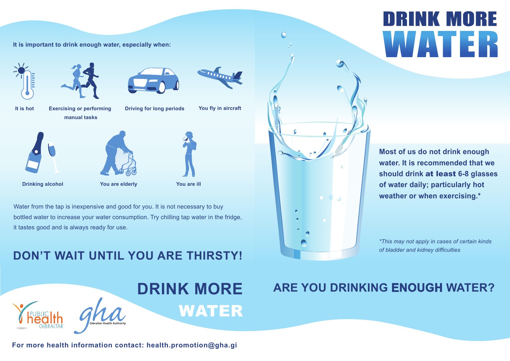



**It is important to drink enough water, especially when:**





Water from the tap is inexpensive and good for you. It is not necessary to buy bottled water to increase your water consumption. Try chilling tap water in the fridge, it tastes good and is always ready for use.





### **DON'T WAIT UNTIL YOU ARE THIRSTY!**



**It is hot Exercising or performing manual tasks**



**Drinking alcohol**



**You fly in aircraft**

 $\overline{\cdots}$ 

**Driving for long periods**



*\*This may not apply in cases of certain kinds of bladder and kidney difficulties*

## **ARE YOU DRINKING ENOUGH WATER?**

# DRINK MORE

**Most of us do not drink enough water. It is recommended that we should drink** at least **6-8 glasses of water daily; particularly hot weather or when exercising.\***